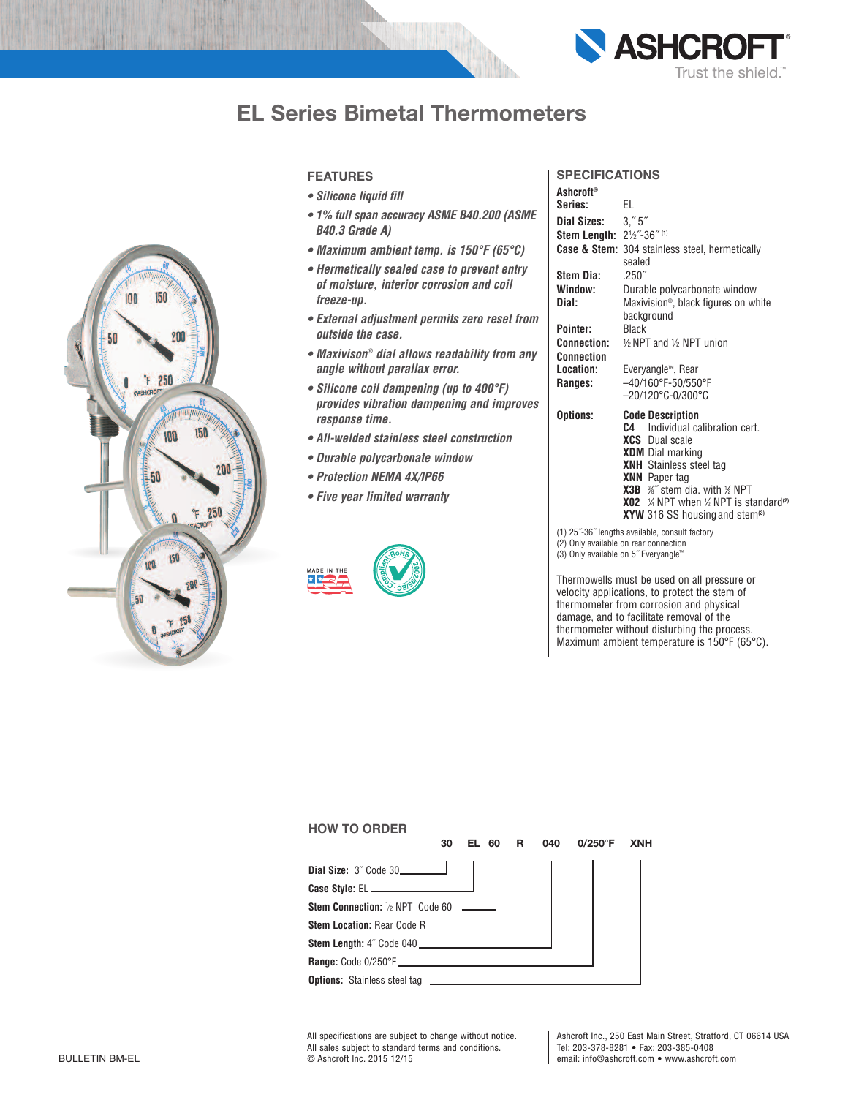

# **EL Series Bimetal Thermometers**



#### **featUReS**

- *• Silicone liquid fill*
- *• 1% full span accuracy ASME B40.200 (ASME B40.3 Grade A)*
- *• Maximum ambient temp. is 150°F (65°C)*
- *• Hermetically sealed case to prevent entry of moisture, interior corrosion and coil freeze-up.*
- *• External adjustment permits zero reset from outside the case.*
- *• Maxivison® dial allows readability from any angle without parallax error.*
- *• Silicone coil dampening (up to 400°F) provides vibration dampening and improves response time.*
- *• All-welded stainless steel construction*
- *• Durable polycarbonate window*
- *• Protection NEMA 4X/IP66*
- *• Five year limited warranty*



## **SpecificationS**

| Ashcroft®                             |                                                                    |
|---------------------------------------|--------------------------------------------------------------------|
| Series:                               | EL                                                                 |
| Dial Sizes: 3."5"                     |                                                                    |
| Stem Length: 21/2"-36" (1)            |                                                                    |
|                                       | <b>Case &amp; Stem:</b> 304 stainless steel, hermetically          |
|                                       | sealed                                                             |
| Stem Dia:                             | .250''                                                             |
| Window:                               | Durable polycarbonate window                                       |
| Dial:                                 | Maxivision <sup>®</sup> , black figures on white                   |
|                                       | background                                                         |
| Pointer:                              | <b>Black</b>                                                       |
| Connection:                           | 1/ <sub>2</sub> NPT and 1/ <sub>2</sub> NPT union                  |
| <b>Connection</b>                     |                                                                    |
| Location:                             | Everyangle™, Rear                                                  |
| Ranges:                               | $-40/160^{\circ}$ F-50/550°F                                       |
|                                       | $-20/120^{\circ}$ C-0/300 $^{\circ}$ C                             |
| Options:                              | <b>Code Description</b>                                            |
|                                       | Individual calibration cert.<br>C.4                                |
|                                       | <b>XCS</b> Dual scale                                              |
|                                       | <b>XDM</b> Dial marking                                            |
|                                       | <b>XNH</b> Stainless steel tag                                     |
|                                       | <b>XNN</b> Paper tag                                               |
|                                       | <b>X3B</b> $\frac{1}{2}$ stem dia. with $\frac{1}{2}$ NPT          |
|                                       | <b>X02</b> % NPT when $\frac{1}{2}$ NPT is standard <sup>(2)</sup> |
|                                       | XYW 316 SS housing and stem <sup>(3)</sup>                         |
|                                       | (1) 25"-36" lengths available, consult factory                     |
| (2) Only available on rear connection |                                                                    |

(3) Only available on 5˝ Everyangle™

Thermowells must be used on all pressure or velocity applications, to protect the stem of thermometer from corrosion and physical damage, and to facilitate removal of the thermometer without disturbing the process. Maximum ambient temperature is 150°F (65°C).

| <b>HOW TO ORDER</b>                                                                                                                                                                                                                       |    |           |   |     |            |            |
|-------------------------------------------------------------------------------------------------------------------------------------------------------------------------------------------------------------------------------------------|----|-----------|---|-----|------------|------------|
|                                                                                                                                                                                                                                           | 30 | 60<br>EL. | R | 040 | $0/250$ °F | <b>XNH</b> |
|                                                                                                                                                                                                                                           |    |           |   |     |            |            |
|                                                                                                                                                                                                                                           |    |           |   |     |            |            |
|                                                                                                                                                                                                                                           |    |           |   |     |            |            |
| <b>Stem Location: Rear Code R</b>                                                                                                                                                                                                         |    |           |   |     |            |            |
| <b>Stem Length:</b> 4" Code 040                                                                                                                                                                                                           |    |           |   |     |            |            |
|                                                                                                                                                                                                                                           |    |           |   |     |            |            |
| <b>Options:</b> Stainless steel tag <b>example 20 and 20 and 20 and 20 and 20 and 20 and 20 and 20 and 20 and 20 and 20 and 20 and 20 and 20 and 20 and 20 and 20 and 20 and 20 and 20 and 20 and 20 and 20 and 20 and 20 and 20 and </b> |    |           |   |     |            |            |

All specifications are subject to change without notice. All sales subject to standard terms and conditions. BULLETIN BM-EL © Ashcroft Inc. 2015 12/15

Ashcroft Inc., 250 East Main Street, Stratford, CT 06614 USA Tel: 203-378-8281 • Fax: 203-385-0408 email: info@ashcroft.com • www.ashcroft.com